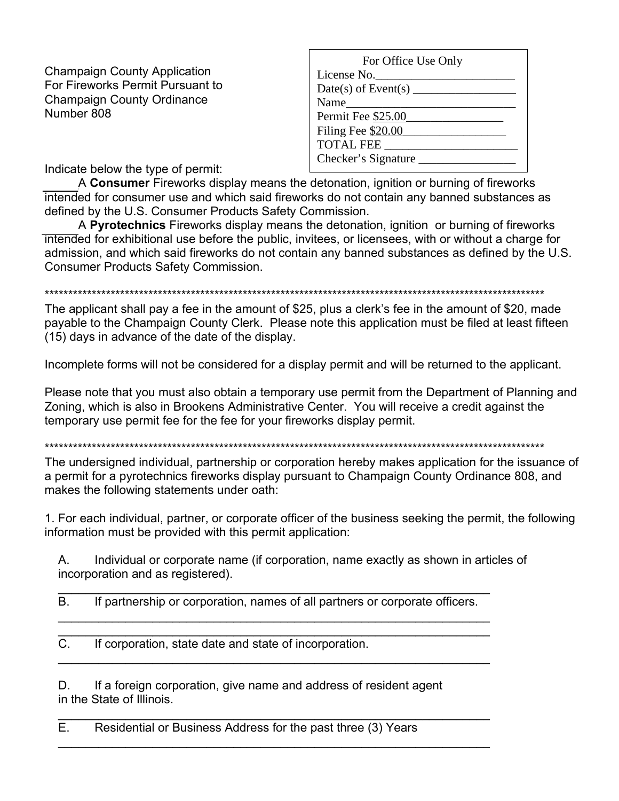**Champaign County Application** For Fireworks Permit Pursuant to **Champaign County Ordinance** Number 808

| For Office Use Only        |
|----------------------------|
| License No.                |
| Date(s) of Event(s) $\_\_$ |
| Name                       |
| Permit Fee \$25.00         |
| Filing Fee \$20.00         |
| <b>TOTAL FEE</b>           |
| Checker's Signature _      |
|                            |

Indicate below the type of permit:

A Consumer Fireworks display means the detonation, ignition or burning of fireworks intended for consumer use and which said fireworks do not contain any banned substances as defined by the U.S. Consumer Products Safety Commission.

A Pyrotechnics Fireworks display means the detonation, ignition or burning of fireworks intended for exhibitional use before the public, invitees, or licensees, with or without a charge for admission, and which said fireworks do not contain any banned substances as defined by the U.S. **Consumer Products Safety Commission.** 

## 

The applicant shall pay a fee in the amount of \$25, plus a clerk's fee in the amount of \$20, made payable to the Champaign County Clerk. Please note this application must be filed at least fifteen (15) days in advance of the date of the display.

Incomplete forms will not be considered for a display permit and will be returned to the applicant.

Please note that you must also obtain a temporary use permit from the Department of Planning and Zoning, which is also in Brookens Administrative Center. You will receive a credit against the temporary use permit fee for the fee for your fireworks display permit.

The undersigned individual, partnership or corporation hereby makes application for the issuance of a permit for a pyrotechnics fireworks display pursuant to Champaign County Ordinance 808, and makes the following statements under oath:

1. For each individual, partner, or corporate officer of the business seeking the permit, the following information must be provided with this permit application:

 $A_{1}$ Individual or corporate name (if corporation, name exactly as shown in articles of incorporation and as registered).

 $B<sub>1</sub>$ If partnership or corporation, names of all partners or corporate officers.

 $\overline{C}$ If corporation, state date and state of incorporation.

D. If a foreign corporation, give name and address of resident agent in the State of Illinois.

Е. Residential or Business Address for the past three (3) Years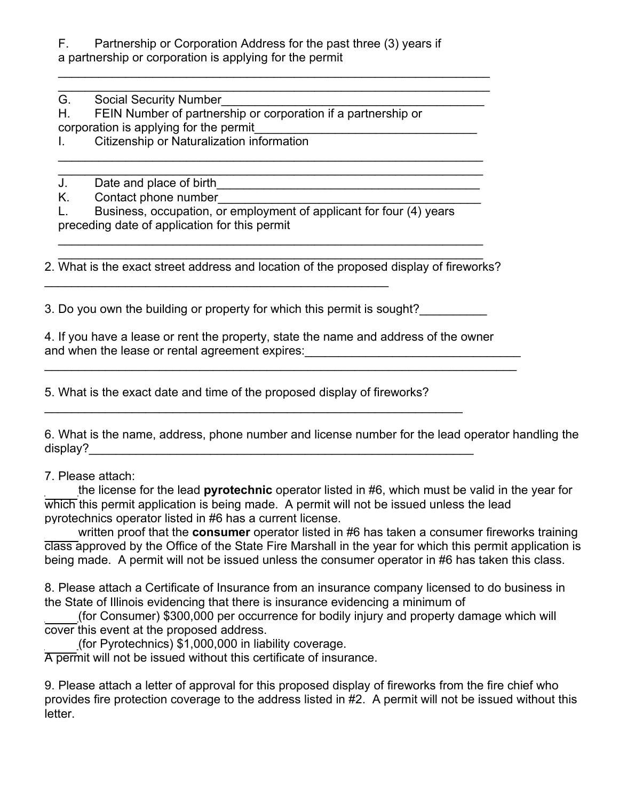F. Partnership or Corporation Address for the past three (3) years if a partnership or corporation is applying for the permit

 $\mathcal{L}_\mathcal{L} = \{ \mathcal{L}_\mathcal{L} = \{ \mathcal{L}_\mathcal{L} = \{ \mathcal{L}_\mathcal{L} = \{ \mathcal{L}_\mathcal{L} = \{ \mathcal{L}_\mathcal{L} = \{ \mathcal{L}_\mathcal{L} = \{ \mathcal{L}_\mathcal{L} = \{ \mathcal{L}_\mathcal{L} = \{ \mathcal{L}_\mathcal{L} = \{ \mathcal{L}_\mathcal{L} = \{ \mathcal{L}_\mathcal{L} = \{ \mathcal{L}_\mathcal{L} = \{ \mathcal{L}_\mathcal{L} = \{ \mathcal{L}_\mathcal{$ \_\_\_\_\_\_\_\_\_\_\_\_\_\_\_\_\_\_\_\_\_\_\_\_\_\_\_\_\_\_\_\_\_\_\_\_\_\_\_\_\_\_\_\_\_\_\_\_\_\_\_\_\_\_\_\_\_\_\_\_\_\_\_\_

\_\_\_\_\_\_\_\_\_\_\_\_\_\_\_\_\_\_\_\_\_\_\_\_\_\_\_\_\_\_\_\_\_\_\_\_\_\_\_\_\_\_\_\_\_\_\_\_\_\_\_\_\_\_\_\_\_\_\_\_\_\_\_ \_\_\_\_\_\_\_\_\_\_\_\_\_\_\_\_\_\_\_\_\_\_\_\_\_\_\_\_\_\_\_\_\_\_\_\_\_\_\_\_\_\_\_\_\_\_\_\_\_\_\_\_\_\_\_\_\_\_\_\_\_\_\_

G. Social Security Number

H. FEIN Number of partnership or corporation if a partnership or corporation is applying for the permit

I. Citizenship or Naturalization information

J. Date and place of birth<br>K. Contact phone number

Contact phone number

L. Business, occupation, or employment of applicant for four (4) years preceding date of application for this permit

\_\_\_\_\_\_\_\_\_\_\_\_\_\_\_\_\_\_\_\_\_\_\_\_\_\_\_\_\_\_\_\_\_\_\_\_\_\_\_\_\_\_\_\_\_\_\_\_\_\_\_\_\_\_\_\_\_\_\_\_\_\_\_ 2. What is the exact street address and location of the proposed display of fireworks?

\_\_\_\_\_\_\_\_\_\_\_\_\_\_\_\_\_\_\_\_\_\_\_\_\_\_\_\_\_\_\_\_\_\_\_\_\_\_\_\_\_\_\_\_\_\_\_\_\_\_\_\_\_\_\_\_\_\_\_\_\_\_\_

3. Do you own the building or property for which this permit is sought?

 $\mathcal{L}_\text{max}$  , and the contract of the contract of the contract of the contract of the contract of the contract of the contract of the contract of the contract of the contract of the contract of the contract of the contr

4. If you have a lease or rent the property, state the name and address of the owner and when the lease or rental agreement expires: \_\_\_\_\_\_\_\_\_\_\_\_\_\_\_\_\_\_\_\_\_\_\_\_\_\_\_\_\_\_\_\_

\_\_\_\_\_\_\_\_\_\_\_\_\_\_\_\_\_\_\_\_\_\_\_\_\_\_\_\_\_\_\_\_\_\_\_\_\_\_\_\_\_\_\_\_\_\_\_\_\_\_\_\_\_\_\_\_\_\_\_\_\_\_\_\_\_\_\_\_\_\_

5. What is the exact date and time of the proposed display of fireworks?

 $\mathcal{L}_\text{max}$  , and the contribution of the contribution of the contribution of the contribution of the contribution of the contribution of the contribution of the contribution of the contribution of the contribution of t

6. What is the name, address, phone number and license number for the lead operator handling the display?\_\_\_\_\_\_\_\_\_\_\_\_\_\_\_\_\_\_\_\_\_\_\_\_\_\_\_\_\_\_\_\_\_\_\_\_\_\_\_\_\_\_\_\_\_\_\_\_\_\_\_\_\_\_\_\_\_

7. Please attach:

\_\_\_\_\_the license for the lead **pyrotechnic** operator listed in #6, which must be valid in the year for which this permit application is being made. A permit will not be issued unless the lead pyrotechnics operator listed in #6 has a current license.

written proof that the **consumer** operator listed in #6 has taken a consumer fireworks training class approved by the Office of the State Fire Marshall in the year for which this permit application is being made. A permit will not be issued unless the consumer operator in #6 has taken this class.

8. Please attach a Certificate of Insurance from an insurance company licensed to do business in the State of Illinois evidencing that there is insurance evidencing a minimum of

\_\_\_\_\_(for Consumer) \$300,000 per occurrence for bodily injury and property damage which will cover this event at the proposed address.

(for Pyrotechnics) \$1,000,000 in liability coverage.

A permit will not be issued without this certificate of insurance.

9. Please attach a letter of approval for this proposed display of fireworks from the fire chief who provides fire protection coverage to the address listed in #2. A permit will not be issued without this letter.